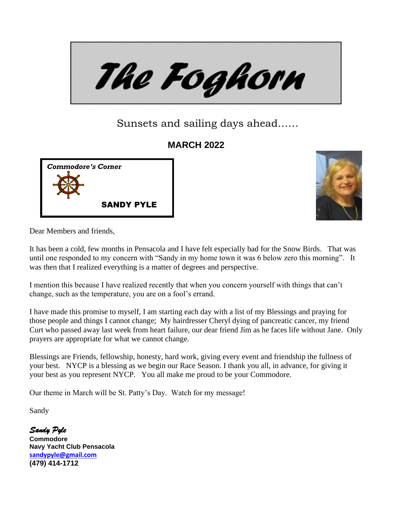

# Sunsets and sailing days ahead……

## **MARCH 2022**





Dear Members and friends,

It has been a cold, few months in Pensacola and I have felt especially bad for the Snow Birds. That was until one responded to my concern with "Sandy in my home town it was 6 below zero this morning". It was then that I realized everything is a matter of degrees and perspective.

I mention this because I have realized recently that when you concern yourself with things that can't change, such as the temperature, you are on a fool's errand.

I have made this promise to myself, I am starting each day with a list of my Blessings and praying for those people and things I cannot change; My hairdresser Cheryl dying of pancreatic cancer, my friend Curt who passed away last week from heart failure, our dear friend Jim as he faces life without Jane. Only prayers are appropriate for what we cannot change.

Blessings are Friends, fellowship, honesty, hard work, giving every event and friendship the fullness of your best. NYCP is a blessing as we begin our Race Season. I thank you all, in advance, for giving it your best as you represent NYCP. You all make me proud to be your Commodore.

Our theme in March will be St. Patty's Day. Watch for my message!

Sandy

*Sandy Pyle*  **Commodore Navy Yacht Club Pensacola [sandypyle@gmail.com](mailto:sandypyle@gmail.com)  (479) 414-1712**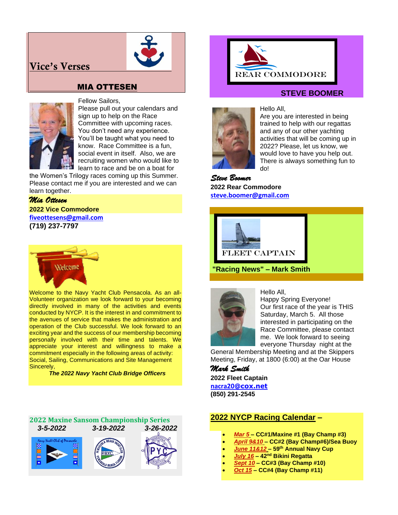## **Vice's Verses**



## MIA OTTESEN



#### Fellow Sailors,

Please pull out your calendars and sign up to help on the Race Committee with upcoming races. You don't need any experience. You'll be taught what you need to know. Race Committee is a fun, social event in itself. Also, we are recruiting women who would like to learn to race and be on a boat for

the Women's Trilogy races coming up this Summer. Please contact me if you are interested and we can learn together.

### *Mia Ottesen* **2022 Vice Commodore [fiveottesens@gmail.com](mailto:fiveottesens@gmail.com) (719) 237-7797**



Welcome to the Navy Yacht Club Pensacola. As an all-Volunteer organization we look forward to your becoming directly involved in many of the activities and events conducted by NYCP. It is the interest in and commitment to the avenues of service that makes the administration and operation of the Club successful. We look forward to an exciting year and the success of our membership becoming personally involved with their time and talents. We appreciate your interest and willingness to make a commitment especially in the following areas of activity: Social, Sailing, Communications and Site Management Sincerely,

 *The 2022 Navy Yacht Club Bridge Officers*

#### **2022 Maxine Sansom Championship Series**  *3-5-2022 3-19-2022 3-26-2022*









Hello All,

## **STEVE BOOMER**



Are you are interested in being trained to help with our regattas and any of our other yachting activities that will be coming up in 2022? Please, let us know, we would love to have you help out. There is always something fun to do!

*Steve Boomer* **2022 Rear Commodore [steve.boomer@gmail.com](mailto:steve.boomer@gmail.com)**



**"Racing News" – Mark Smith**



Hello All, Happy Spring Everyone! Our first race of the year is THIS Saturday, March 5. All those interested in participating on the Race Committee, please contact me. We look forward to seeing

everyone Thursday night at the General Membership Meeting and at the Skippers Meeting, Friday, at 1800 (6:00) at the Oar House

*Mark Smith* 

**2022 Fleet Captain [nacra20](mailto:nacra20onedesign@gmail.com)[@cox.net](mailto:nacra20onedesign@gmail.com) (850) 291-2545**

## **2022 NYCP Racing Calendar –**

- *Mar 5* **– CC#1/Maxine #1 (Bay Champ #3)**
- *April 9&10* **– CC#2 (Bay Champ#6)/Sea Buoy**
- *June 11&12* **– 59 th Annual Navy Cup**
- *July 16* **– 42 nd Bikini Regatta**
- *Sept 10* **– CC#3 (Bay Champ #10)**
- *Oct 15* **– CC#4 (Bay Champ #11)**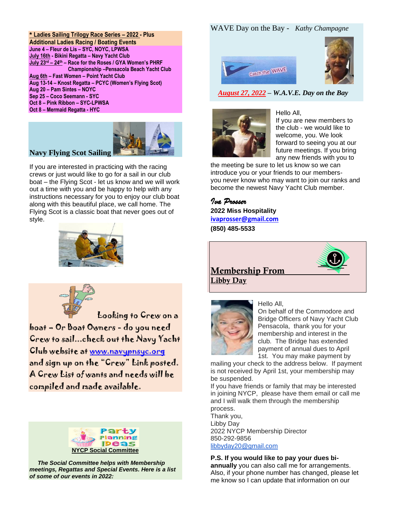**\* Ladies Sailing Trilogy Race Series – 2022 - Plus Additional Ladies Racing / Boating Events June 4 – Fleur de Lis – SYC, NOYC, LPWSA July 16th - Bikini Regatta – Navy Yacht Club July 23 rd – 24 th – Race for the Roses / GYA Women's PHRF Championship –Pensacola Beach Yacht Club Aug 6th – Fast Women – Point Yacht Club Aug 13-14 – Knost Regatta – PCYC (Women's Flying Scot) Aug 20 – Pam Sintes – NOYC Sep 25 – Coco Seemann - SYC Oct 8 – Pink Ribbon – SYC-LPWSA Oct 8 – Mermaid Regatta - HYC**

## **Navy Flying Scot Sailing**



crews or just would like to go for a sail in our club boat – the Flying Scot - let us know and we will work out a time with you and be happy to help with any instructions necessary for you to enjoy our club boat along with this beautiful place, we call home. The Flying Scot is a classic boat that never goes out of style.





 Looking to Crew on a boat – Or Boat Owners - do you need Crew to sail...check out the Navy Yacht Club website at [www.navypnsyc.org](http://www.navypnsyc.org/)  and sign up on the "Crew" Link posted. A Crew List of wants and needs will be compiled and made available.



 *The Social Committee helps with Membership meetings, Regattas and Special Events. Here is a list of some of our events in 2022:*

#### WAVE Day on the Bay - *Kathy Champagne*





 *August 27, 2022 – W.A.V.E. Day on the Bay*



Hello All, If you are new members to the club - we would like to welcome, you. We look forward to seeing you at our future meetings. If you bring any new friends with you to

the meeting be sure to let us know so we can introduce you or your friends to our membersyou never know who may want to join our ranks and become the newest Navy Yacht Club member.

*Iva Prosser* **2022 Miss Hospitality [ivaprosser@gmail.com](mailto:ivaprosser@gmail.com) (850) 485-5533**





Hello All, On behalf of the Commodore and Bridge Officers of Navy Yacht Club Pensacola, thank you for your membership and interest in the club. The Bridge has extended payment of annual dues to April 1st. You may make payment by

mailing your check to the address below. If payment is not received by April 1st, your membership may be suspended.

If you have friends or family that may be interested in joining NYCP, please have them email or call me and I will walk them through the membership process.

Thank you, Libby Day 2022 NYCP Membership Director 850-292-9856 [libbyday20@gmail.com](mailto:libbyday20@gmail.com)

#### **P.S. If you would like to pay your dues bi-**

**annually** you can also call me for arrangements. Also, if your phone number has changed, please let me know so I can update that information on our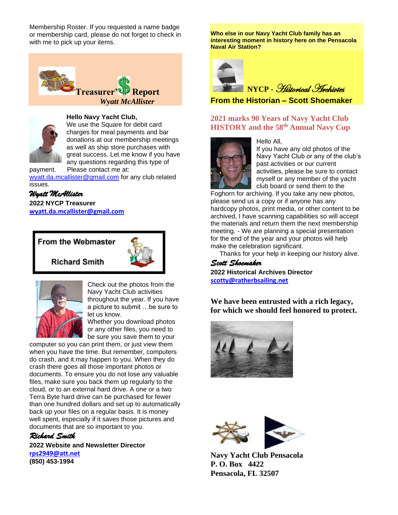Membership Roster. If you requested a name badge or membership card, please do not forget to check in with me to pick up your items.





#### **Hello Navy Yacht Club,**

We use the Square for debit card charges for meal payments and bar donations at our membership meetings as well as ship store purchases with great success. Let me know if you have any questions regarding this type of

payment. Please contact me at: [wyatt.da.mcallister@gmail.com](mailto:wyatt.da.mcallister@gmail.com) for any club related issues.

#### *Wyatt McAllister*

**2022 NYCP Treasurer [wyatt.da.mcallister@gmail.com](mailto:wyatt.da.mcallister@gmail.com)**

#### From the Webmaster



**Richard Smith** 



Check out the photos from the Navy Yacht Club activities throughout the year. If you have a picture to submit …be sure to let us know.

Whether you download photos or any other files, you need to be sure you save them to your

computer so you can print them, or just view them when you have the time. But remember, computers do crash, and it may happen to you. When they do crash there goes all those important photos or documents. To ensure you do not lose any valuable files, make sure you back them up regularly to the cloud, or to an external hard drive. A one or a two Terra Byte hard drive can be purchased for fewer than one hundred dollars and set up to automatically back up your files on a regular basis. It is money well spent, especially if it saves those pictures and documents that are so important to you.

## *Richard Smith*

**2022 Website and Newsletter Director [rps2949@att.net](mailto:rps2949@att.net)  (850) 453-1994**

**Who else in our Navy Yacht Club family has an interesting moment in history here on the Pensacola Naval Air Station?**



## **NYCP -** Historical Archivtes

**From the Historian – Scott Shoemaker**

### **2021 marks 90 Years of Navy Yacht Club HISTORY and the 58 th Annual Navy Cup**



Hello All,

If you have any old photos of the Navy Yacht Club or any of the club's past activities or our current activities, please be sure to contact myself or any member of the yacht club board or send them to the

Foghorn for archiving. If you take any new photos, please send us a copy or if anyone has any hardcopy photos, print media, or other content to be archived, I have scanning capabilities so will accept the materials and return them the next membership meeting. - We are planning a special presentation for the end of the year and your photos will help make the celebration significant.

Thanks for your help in keeping our history alive.

*Scott Shoemaker* **2022 Historical Archives Director [scotty@ratherbsailing.net](mailto:scotty@ratherbsailing.net)**

**We have been entrusted with a rich legacy, for which we should feel honored to protect.**





**Navy Yacht Club Pensacola P. O. Box 4422 Pensacola, FL 32507**